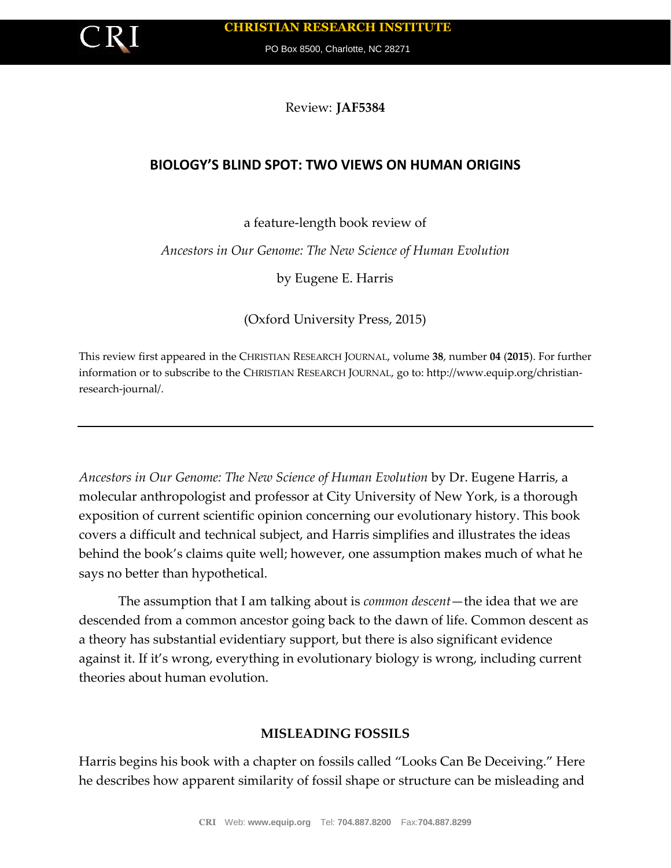

PO Box 8500, Charlotte, NC 28271

Review: **JAF5384**

# **BIOLOGY'S BLIND SPOT: TWO VIEWS ON HUMAN ORIGINS**

## a feature-length book review of

#### *Ancestors in Our Genome: The New Science of Human Evolution*

by Eugene E. Harris

(Oxford University Press, 2015)

This review first appeared in the CHRISTIAN RESEARCH JOURNAL, volume **38**, number **04** (**2015**). For further information or to subscribe to the CHRISTIAN RESEARCH JOURNAL, go to: http://www.equip.org/christianresearch-journal/.

*Ancestors in Our Genome: The New Science of Human Evolution* by Dr. Eugene Harris, a molecular anthropologist and professor at City University of New York, is a thorough exposition of current scientific opinion concerning our evolutionary history. This book covers a difficult and technical subject, and Harris simplifies and illustrates the ideas behind the book's claims quite well; however, one assumption makes much of what he says no better than hypothetical.

The assumption that I am talking about is *common descent*—the idea that we are descended from a common ancestor going back to the dawn of life. Common descent as a theory has substantial evidentiary support, but there is also significant evidence against it. If it's wrong, everything in evolutionary biology is wrong, including current theories about human evolution.

## **MISLEADING FOSSILS**

Harris begins his book with a chapter on fossils called "Looks Can Be Deceiving." Here he describes how apparent similarity of fossil shape or structure can be misleading and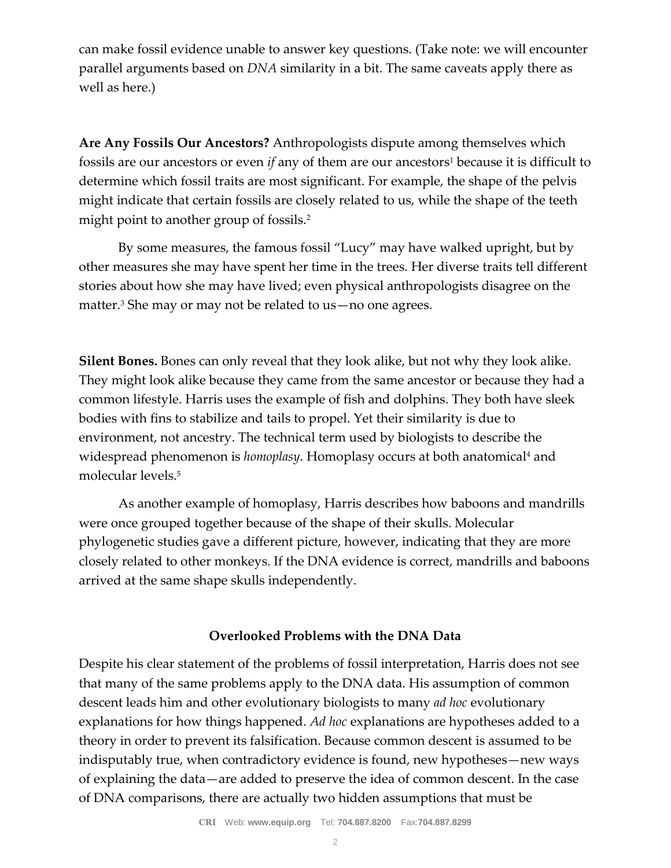can make fossil evidence unable to answer key questions. (Take note: we will encounter parallel arguments based on *DNA* similarity in a bit. The same caveats apply there as well as here.)

**Are Any Fossils Our Ancestors?** Anthropologists dispute among themselves which fossils are our ancestors or even *if* any of them are our ancestors<sup>1</sup> because it is difficult to determine which fossil traits are most significant. For example, the shape of the pelvis might indicate that certain fossils are closely related to us, while the shape of the teeth might point to another group of fossils.<sup>2</sup>

By some measures, the famous fossil "Lucy" may have walked upright, but by other measures she may have spent her time in the trees. Her diverse traits tell different stories about how she may have lived; even physical anthropologists disagree on the matter.<sup>3</sup> She may or may not be related to us—no one agrees.

**Silent Bones.** Bones can only reveal that they look alike, but not why they look alike. They might look alike because they came from the same ancestor or because they had a common lifestyle. Harris uses the example of fish and dolphins. They both have sleek bodies with fins to stabilize and tails to propel. Yet their similarity is due to environment, not ancestry. The technical term used by biologists to describe the widespread phenomenon is *homoplasy*. Homoplasy occurs at both anatomical<sup>4</sup> and molecular levels.<sup>5</sup>

As another example of homoplasy, Harris describes how baboons and mandrills were once grouped together because of the shape of their skulls. Molecular phylogenetic studies gave a different picture, however, indicating that they are more closely related to other monkeys. If the DNA evidence is correct, mandrills and baboons arrived at the same shape skulls independently.

## **Overlooked Problems with the DNA Data**

Despite his clear statement of the problems of fossil interpretation, Harris does not see that many of the same problems apply to the DNA data. His assumption of common descent leads him and other evolutionary biologists to many *ad hoc* evolutionary explanations for how things happened. *Ad hoc* explanations are hypotheses added to a theory in order to prevent its falsification. Because common descent is assumed to be indisputably true, when contradictory evidence is found, new hypotheses—new ways of explaining the data—are added to preserve the idea of common descent. In the case of DNA comparisons, there are actually two hidden assumptions that must be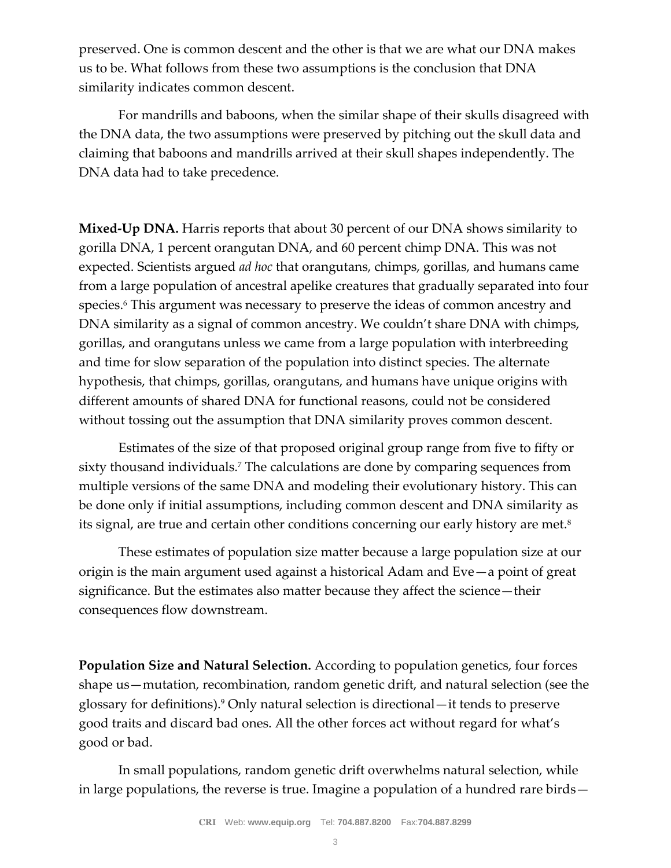preserved. One is common descent and the other is that we are what our DNA makes us to be. What follows from these two assumptions is the conclusion that DNA similarity indicates common descent.

For mandrills and baboons, when the similar shape of their skulls disagreed with the DNA data, the two assumptions were preserved by pitching out the skull data and claiming that baboons and mandrills arrived at their skull shapes independently. The DNA data had to take precedence.

**Mixed-Up DNA.** Harris reports that about 30 percent of our DNA shows similarity to gorilla DNA, 1 percent orangutan DNA, and 60 percent chimp DNA. This was not expected. Scientists argued *ad hoc* that orangutans, chimps, gorillas, and humans came from a large population of ancestral apelike creatures that gradually separated into four species.<sup>6</sup> This argument was necessary to preserve the ideas of common ancestry and DNA similarity as a signal of common ancestry. We couldn't share DNA with chimps, gorillas, and orangutans unless we came from a large population with interbreeding and time for slow separation of the population into distinct species. The alternate hypothesis, that chimps, gorillas, orangutans, and humans have unique origins with different amounts of shared DNA for functional reasons, could not be considered without tossing out the assumption that DNA similarity proves common descent.

Estimates of the size of that proposed original group range from five to fifty or sixty thousand individuals.<sup>7</sup> The calculations are done by comparing sequences from multiple versions of the same DNA and modeling their evolutionary history. This can be done only if initial assumptions, including common descent and DNA similarity as its signal, are true and certain other conditions concerning our early history are met.<sup>8</sup>

These estimates of population size matter because a large population size at our origin is the main argument used against a historical Adam and Eve—a point of great significance. But the estimates also matter because they affect the science—their consequences flow downstream.

**Population Size and Natural Selection.** According to population genetics, four forces shape us—mutation, recombination, random genetic drift, and natural selection (see the glossary for definitions).<sup>9</sup> Only natural selection is directional—it tends to preserve good traits and discard bad ones. All the other forces act without regard for what's good or bad.

In small populations, random genetic drift overwhelms natural selection, while in large populations, the reverse is true. Imagine a population of a hundred rare birds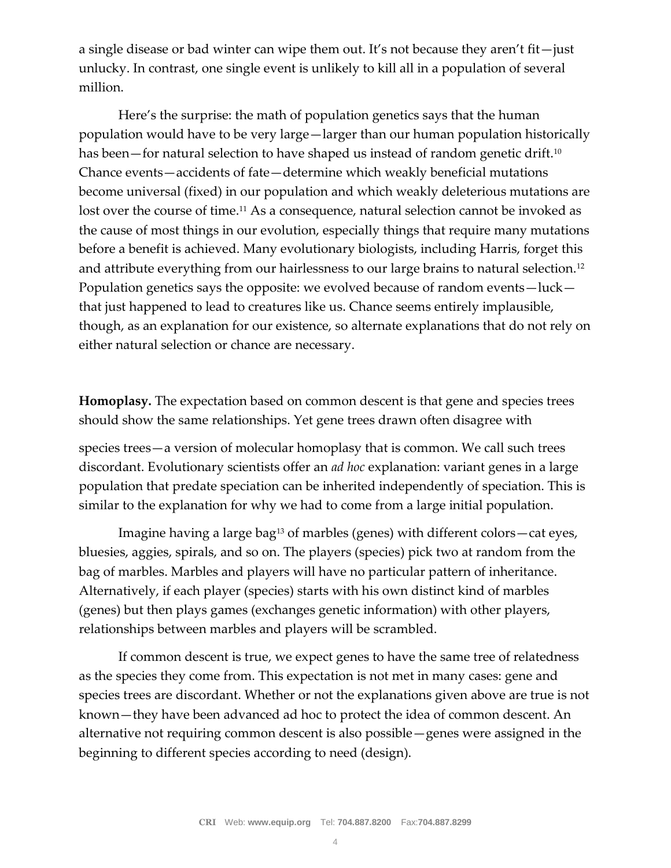a single disease or bad winter can wipe them out. It's not because they aren't fit—just unlucky. In contrast, one single event is unlikely to kill all in a population of several million.

Here's the surprise: the math of population genetics says that the human population would have to be very large—larger than our human population historically has been—for natural selection to have shaped us instead of random genetic drift.<sup>10</sup> Chance events—accidents of fate—determine which weakly beneficial mutations become universal (fixed) in our population and which weakly deleterious mutations are lost over the course of time.<sup>11</sup> As a consequence, natural selection cannot be invoked as the cause of most things in our evolution, especially things that require many mutations before a benefit is achieved. Many evolutionary biologists, including Harris, forget this and attribute everything from our hairlessness to our large brains to natural selection.<sup>12</sup> Population genetics says the opposite: we evolved because of random events—luck that just happened to lead to creatures like us. Chance seems entirely implausible, though, as an explanation for our existence, so alternate explanations that do not rely on either natural selection or chance are necessary.

**Homoplasy.** The expectation based on common descent is that gene and species trees should show the same relationships. Yet gene trees drawn often disagree with

species trees—a version of molecular homoplasy that is common. We call such trees discordant. Evolutionary scientists offer an *ad hoc* explanation: variant genes in a large population that predate speciation can be inherited independently of speciation. This is similar to the explanation for why we had to come from a large initial population.

Imagine having a large bag<sup>13</sup> of marbles (genes) with different colors—cat eyes, bluesies, aggies, spirals, and so on. The players (species) pick two at random from the bag of marbles. Marbles and players will have no particular pattern of inheritance. Alternatively, if each player (species) starts with his own distinct kind of marbles (genes) but then plays games (exchanges genetic information) with other players, relationships between marbles and players will be scrambled.

If common descent is true, we expect genes to have the same tree of relatedness as the species they come from. This expectation is not met in many cases: gene and species trees are discordant. Whether or not the explanations given above are true is not known—they have been advanced ad hoc to protect the idea of common descent. An alternative not requiring common descent is also possible—genes were assigned in the beginning to different species according to need (design).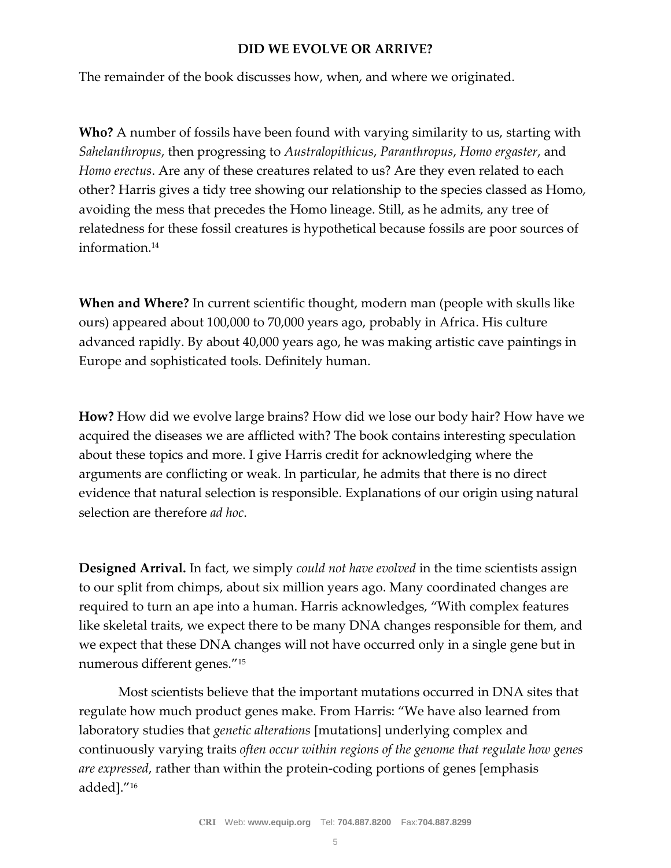#### **DID WE EVOLVE OR ARRIVE?**

The remainder of the book discusses how, when, and where we originated.

**Who?** A number of fossils have been found with varying similarity to us, starting with *Sahelanthropus*, then progressing to *Australopithicus*, *Paranthropus*, *Homo ergaster*, and *Homo erectus*. Are any of these creatures related to us? Are they even related to each other? Harris gives a tidy tree showing our relationship to the species classed as Homo, avoiding the mess that precedes the Homo lineage. Still, as he admits, any tree of relatedness for these fossil creatures is hypothetical because fossils are poor sources of information.<sup>14</sup>

**When and Where?** In current scientific thought, modern man (people with skulls like ours) appeared about 100,000 to 70,000 years ago, probably in Africa. His culture advanced rapidly. By about 40,000 years ago, he was making artistic cave paintings in Europe and sophisticated tools. Definitely human.

**How?** How did we evolve large brains? How did we lose our body hair? How have we acquired the diseases we are afflicted with? The book contains interesting speculation about these topics and more. I give Harris credit for acknowledging where the arguments are conflicting or weak. In particular, he admits that there is no direct evidence that natural selection is responsible. Explanations of our origin using natural selection are therefore *ad hoc*.

**Designed Arrival.** In fact, we simply *could not have evolved* in the time scientists assign to our split from chimps, about six million years ago. Many coordinated changes are required to turn an ape into a human. Harris acknowledges, "With complex features like skeletal traits, we expect there to be many DNA changes responsible for them, and we expect that these DNA changes will not have occurred only in a single gene but in numerous different genes."<sup>15</sup>

Most scientists believe that the important mutations occurred in DNA sites that regulate how much product genes make. From Harris: "We have also learned from laboratory studies that *genetic alterations* [mutations] underlying complex and continuously varying traits *often occur within regions of the genome that regulate how genes are expressed*, rather than within the protein-coding portions of genes [emphasis added]."16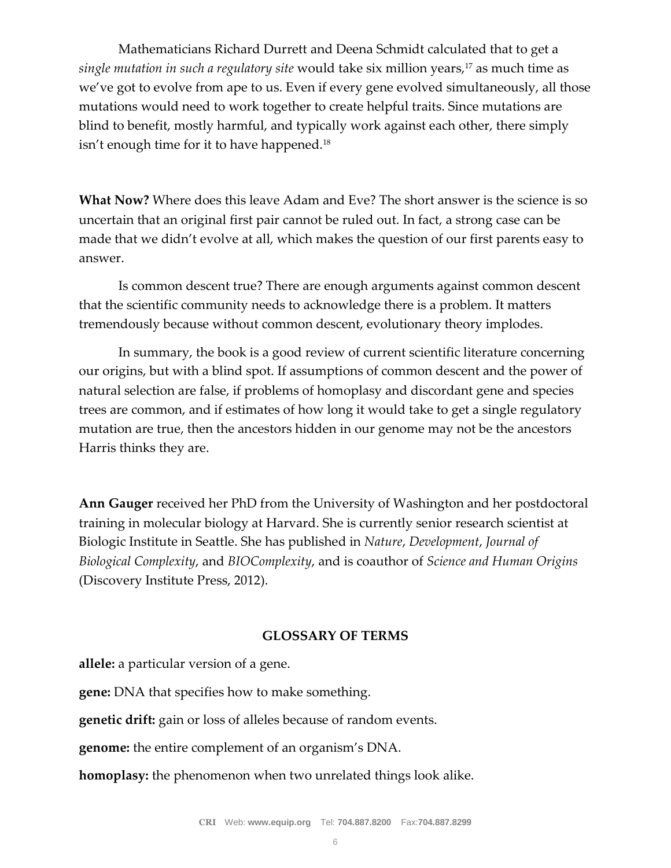Mathematicians Richard Durrett and Deena Schmidt calculated that to get a *single mutation in such a regulatory site* would take six million years,<sup>17</sup> as much time as we've got to evolve from ape to us. Even if every gene evolved simultaneously, all those mutations would need to work together to create helpful traits. Since mutations are blind to benefit, mostly harmful, and typically work against each other, there simply isn't enough time for it to have happened.<sup>18</sup>

**What Now?** Where does this leave Adam and Eve? The short answer is the science is so uncertain that an original first pair cannot be ruled out. In fact, a strong case can be made that we didn't evolve at all, which makes the question of our first parents easy to answer.

Is common descent true? There are enough arguments against common descent that the scientific community needs to acknowledge there is a problem. It matters tremendously because without common descent, evolutionary theory implodes.

In summary, the book is a good review of current scientific literature concerning our origins, but with a blind spot. If assumptions of common descent and the power of natural selection are false, if problems of homoplasy and discordant gene and species trees are common, and if estimates of how long it would take to get a single regulatory mutation are true, then the ancestors hidden in our genome may not be the ancestors Harris thinks they are.

**Ann Gauger** received her PhD from the University of Washington and her postdoctoral training in molecular biology at Harvard. She is currently senior research scientist at Biologic Institute in Seattle. She has published in *Nature*, *Development*, *Journal of Biological Complexity*, and *BIOComplexity*, and is coauthor of *Science and Human Origins* (Discovery Institute Press, 2012).

#### **GLOSSARY OF TERMS**

**allele:** a particular version of a gene.

**gene:** DNA that specifies how to make something.

**genetic drift:** gain or loss of alleles because of random events.

**genome:** the entire complement of an organism's DNA.

**homoplasy:** the phenomenon when two unrelated things look alike.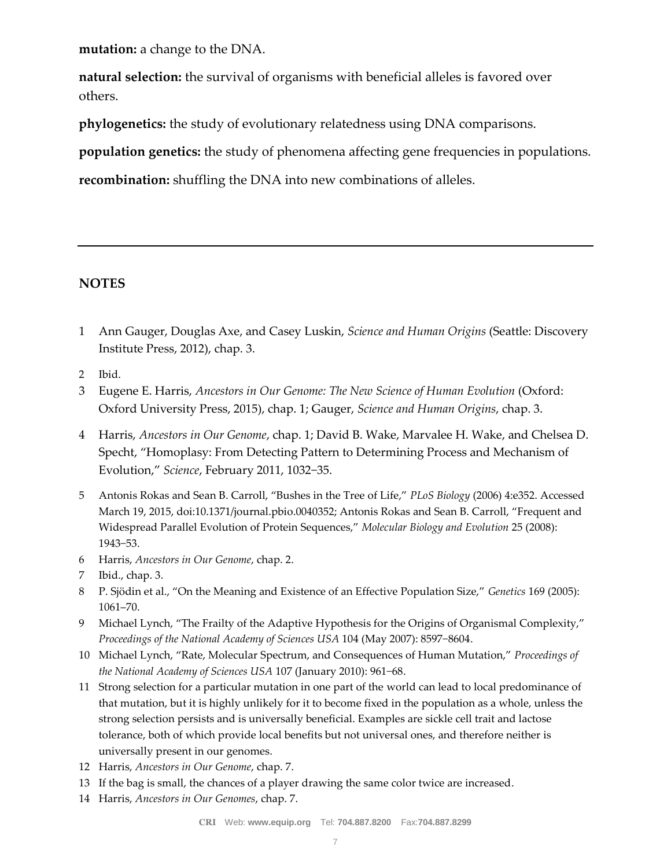**mutation:** a change to the DNA.

**natural selection:** the survival of organisms with beneficial alleles is favored over others.

**phylogenetics:** the study of evolutionary relatedness using DNA comparisons.

**population genetics:** the study of phenomena affecting gene frequencies in populations.

**recombination:** shuffling the DNA into new combinations of alleles.

## **NOTES**

- 1 Ann Gauger, Douglas Axe, and Casey Luskin, *Science and Human Origins* (Seattle: Discovery Institute Press, 2012), chap. 3.
- 2 Ibid.
- 3 Eugene E. Harris, *Ancestors in Our Genome: The New Science of Human Evolution* (Oxford: Oxford University Press, 2015), chap. 1; Gauger, *Science and Human Origins*, chap. 3.
- 4 Harris, *Ancestors in Our Genome*, chap. 1; David B. Wake, Marvalee H. Wake, and Chelsea D. Specht, "Homoplasy: From Detecting Pattern to Determining Process and Mechanism of Evolution," *Science*, February 2011, 1032−35.
- 5 Antonis Rokas and Sean B. Carroll, "Bushes in the Tree of Life," *PLoS Biology* (2006) 4:e352. Accessed March 19, 2015, doi:10.1371/journal.pbio.0040352; Antonis Rokas and Sean B. Carroll, "Frequent and Widespread Parallel Evolution of Protein Sequences," *Molecular Biology and Evolution* 25 (2008): 1943−53.
- 6 Harris, *Ancestors in Our Genome*, chap. 2.
- 7 Ibid., chap. 3.
- 8 P. Sjödin et al., "On the Meaning and Existence of an Effective Population Size," *Genetics* 169 (2005): 1061–70.
- 9 Michael Lynch, "The Frailty of the Adaptive Hypothesis for the Origins of Organismal Complexity," *Proceedings of the National Academy of Sciences USA* 104 (May 2007): 8597−8604.
- 10 Michael Lynch, "Rate, Molecular Spectrum, and Consequences of Human Mutation," *Proceedings of the National Academy of Sciences USA* 107 (January 2010): 961−68.
- 11 Strong selection for a particular mutation in one part of the world can lead to local predominance of that mutation, but it is highly unlikely for it to become fixed in the population as a whole, unless the strong selection persists and is universally beneficial. Examples are sickle cell trait and lactose tolerance, both of which provide local benefits but not universal ones, and therefore neither is universally present in our genomes.
- 12 Harris, *Ancestors in Our Genome*, chap. 7.
- 13 If the bag is small, the chances of a player drawing the same color twice are increased.
- 14 Harris, *Ancestors in Our Genomes*, chap. 7.